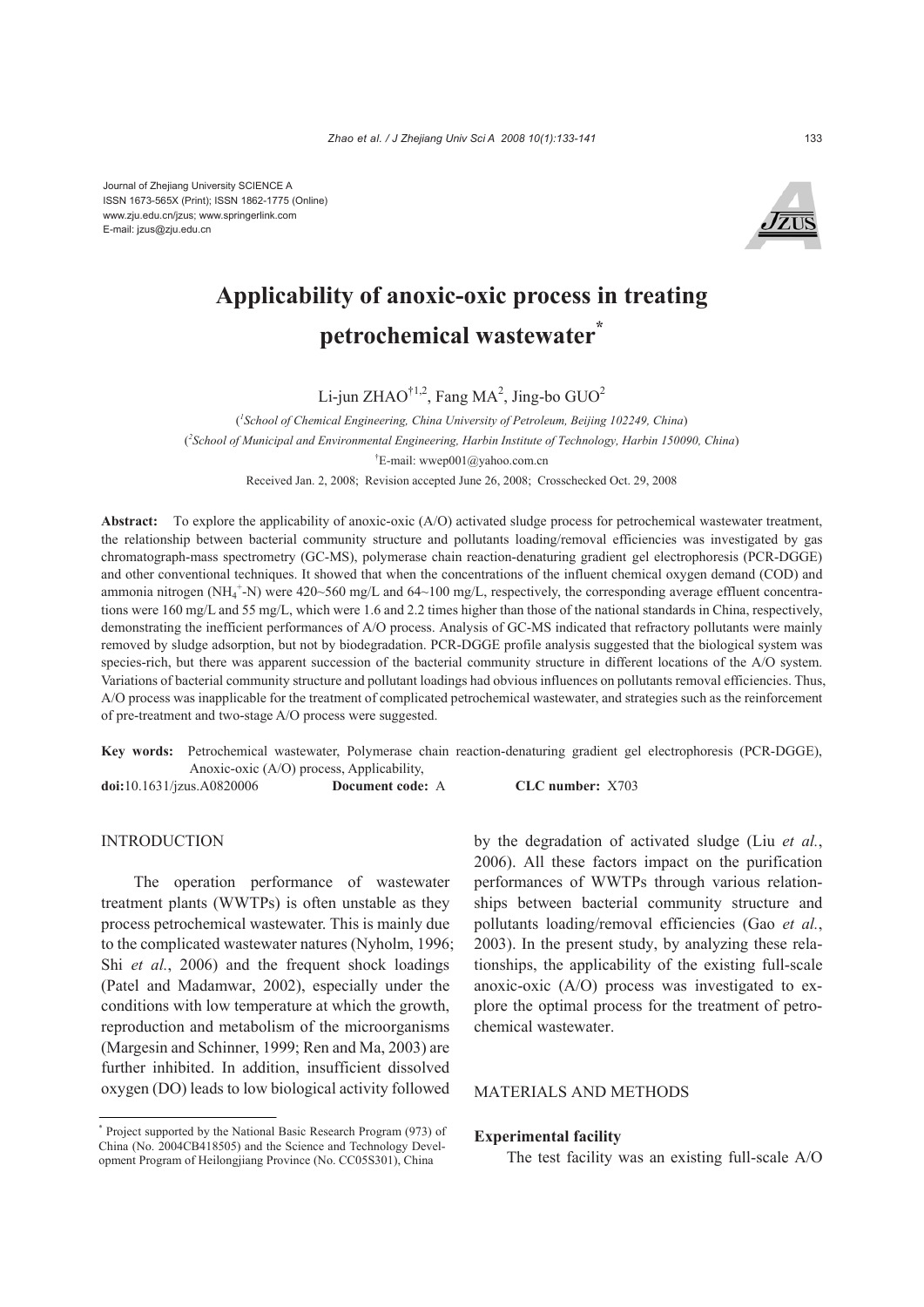

# **Applicability of anoxic-oxic process in treating petrochemical wastewater\***

Li-jun ZHAO<sup>†1,2</sup>, Fang MA<sup>2</sup>, Jing-bo GUO<sup>2</sup>

( *1 School of Chemical Engineering, China University of Petroleum, Beijing 102249, China*) ( *2 School of Municipal and Environmental Engineering, Harbin Institute of Technology, Harbin 150090, China*) † E-mail: wwep001@yahoo.com.cn Received Jan. 2, 2008; Revision accepted June 26, 2008; Crosschecked Oct. 29, 2008

**Abstract:** To explore the applicability of anoxic-oxic (A/O) activated sludge process for petrochemical wastewater treatment, the relationship between bacterial community structure and pollutants loading/removal efficiencies was investigated by gas chromatograph-mass spectrometry (GC-MS), polymerase chain reaction-denaturing gradient gel electrophoresis (PCR-DGGE) and other conventional techniques. It showed that when the concentrations of the influent chemical oxygen demand (COD) and ammonia nitrogen (NH<sub>4</sub><sup>+</sup>-N) were 420~560 mg/L and 64~100 mg/L, respectively, the corresponding average effluent concentrations were 160 mg/L and 55 mg/L, which were 1.6 and 2.2 times higher than those of the national standards in China, respectively, demonstrating the inefficient performances of A/O process. Analysis of GC-MS indicated that refractory pollutants were mainly removed by sludge adsorption, but not by biodegradation. PCR-DGGE profile analysis suggested that the biological system was species-rich, but there was apparent succession of the bacterial community structure in different locations of the A/O system. Variations of bacterial community structure and pollutant loadings had obvious influences on pollutants removal efficiencies. Thus, A/O process was inapplicable for the treatment of complicated petrochemical wastewater, and strategies such as the reinforcement of pre-treatment and two-stage A/O process were suggested.

**Key words:** Petrochemical wastewater, Polymerase chain reaction-denaturing gradient gel electrophoresis (PCR-DGGE), Anoxic-oxic (A/O) process, Applicability,

**doi:**10.1631/jzus.A0820006 **Document code:** A **CLC number:** X703

#### INTRODUCTION

The operation performance of wastewater treatment plants (WWTPs) is often unstable as they process petrochemical wastewater. This is mainly due to the complicated wastewater natures (Nyholm, 1996; Shi *et al.*, 2006) and the frequent shock loadings (Patel and Madamwar, 2002), especially under the conditions with low temperature at which the growth, reproduction and metabolism of the microorganisms (Margesin and Schinner, 1999; Ren and Ma, 2003) are further inhibited. In addition, insufficient dissolved oxygen (DO) leads to low biological activity followed

by the degradation of activated sludge (Liu *et al.*, 2006). All these factors impact on the purification performances of WWTPs through various relationships between bacterial community structure and pollutants loading/removal efficiencies (Gao *et al.*, 2003). In the present study, by analyzing these relationships, the applicability of the existing full-scale anoxic-oxic (A/O) process was investigated to explore the optimal process for the treatment of petrochemical wastewater.

#### MATERIALS AND METHODS

#### **Experimental facility**

The test facility was an existing full-scale A/O

<sup>\*</sup> Project supported by the National Basic Research Program (973) of China (No. 2004CB418505) and the Science and Technology Development Program of Heilongjiang Province (No. CC05S301), China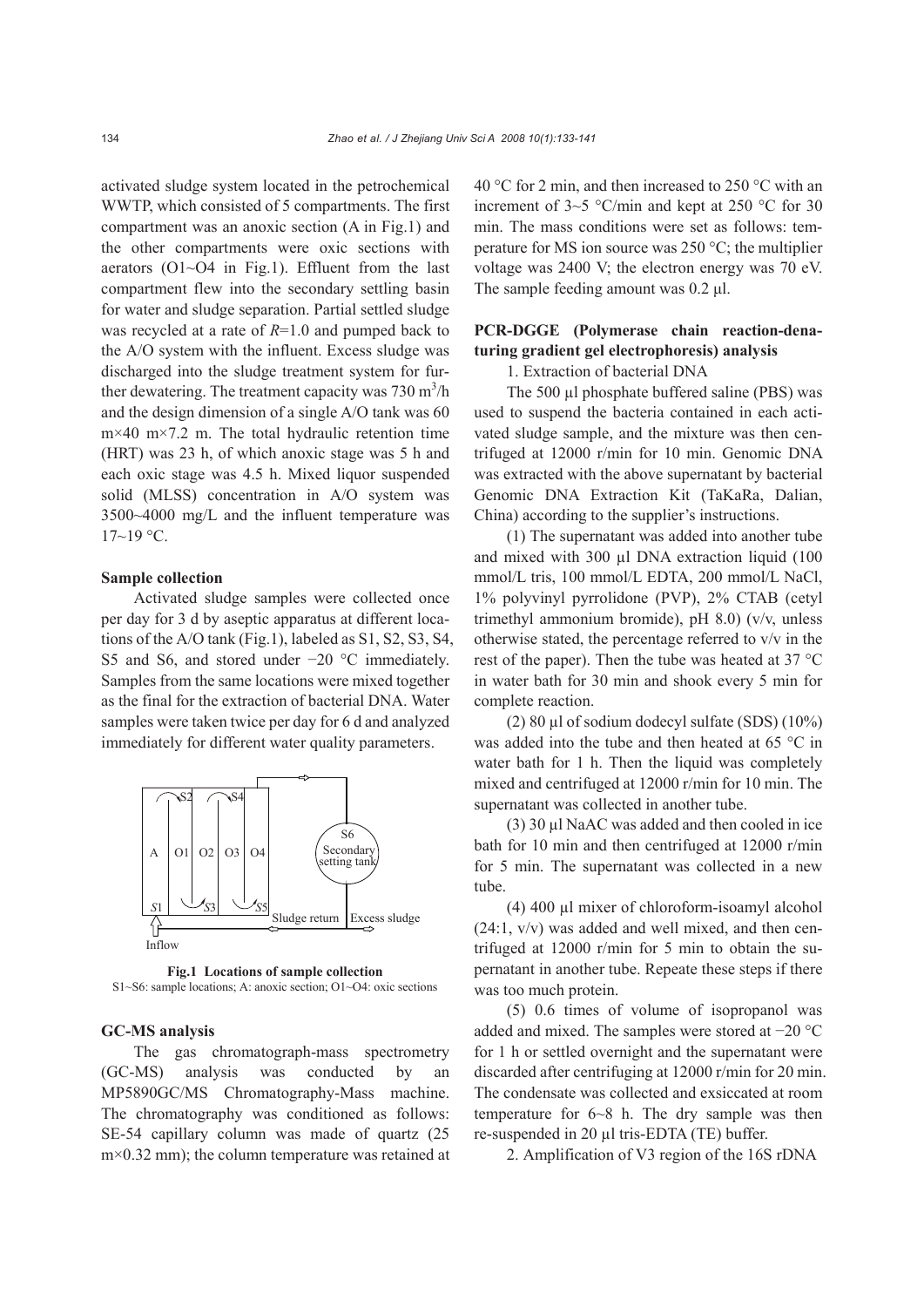activated sludge system located in the petrochemical WWTP, which consisted of 5 compartments. The first compartment was an anoxic section (A in Fig.1) and the other compartments were oxic sections with aerators (O1~O4 in Fig.1). Effluent from the last compartment flew into the secondary settling basin for water and sludge separation. Partial settled sludge was recycled at a rate of *R*=1.0 and pumped back to the A/O system with the influent. Excess sludge was discharged into the sludge treatment system for further dewatering. The treatment capacity was  $730 \text{ m}^3/\text{h}$ and the design dimension of a single A/O tank was 60 m×40 m×7.2 m. The total hydraulic retention time (HRT) was 23 h, of which anoxic stage was 5 h and each oxic stage was 4.5 h. Mixed liquor suspended solid (MLSS) concentration in A/O system was 3500~4000 mg/L and the influent temperature was  $17~19$  °C.

#### **Sample collection**

Activated sludge samples were collected once per day for 3 d by aseptic apparatus at different locations of the A/O tank (Fig.1), labeled as S1, S2, S3, S4, S5 and S6, and stored under −20 °C immediately. Samples from the same locations were mixed together as the final for the extraction of bacterial DNA. Water samples were taken twice per day for 6 d and analyzed immediately for different water quality parameters.



**Fig.1 Locations of sample collection**  S1~S6: sample locations; A: anoxic section; O1~O4: oxic sections

#### **GC-MS analysis**

The gas chromatograph-mass spectrometry (GC-MS) analysis was conducted by an MP5890GC/MS Chromatography-Mass machine. The chromatography was conditioned as follows: SE-54 capillary column was made of quartz (25  $m \times 0.32$  mm); the column temperature was retained at 40 °C for 2 min, and then increased to 250 °C with an increment of 3~5 °C/min and kept at 250 °C for 30 min. The mass conditions were set as follows: temperature for MS ion source was 250 °C; the multiplier voltage was 2400 V; the electron energy was 70 eV. The sample feeding amount was 0.2 μl.

## **PCR-DGGE (Polymerase chain reaction-denaturing gradient gel electrophoresis) analysis**

1. Extraction of bacterial DNA

The 500 µl phosphate buffered saline (PBS) was used to suspend the bacteria contained in each activated sludge sample, and the mixture was then centrifuged at 12000 r/min for 10 min. Genomic DNA was extracted with the above supernatant by bacterial Genomic DNA Extraction Kit (TaKaRa, Dalian, China) according to the supplier's instructions.

(1) The supernatant was added into another tube and mixed with 300 µl DNA extraction liquid (100) mmol/L tris, 100 mmol/L EDTA, 200 mmol/L NaCl, 1% polyvinyl pyrrolidone (PVP), 2% CTAB (cetyl trimethyl ammonium bromide), pH 8.0) (v/v, unless otherwise stated, the percentage referred to v/v in the rest of the paper). Then the tube was heated at 37 °C in water bath for 30 min and shook every 5 min for complete reaction.

(2) 80 µl of sodium dodecyl sulfate (SDS) (10%) was added into the tube and then heated at 65 °C in water bath for 1 h. Then the liquid was completely mixed and centrifuged at 12000 r/min for 10 min. The supernatant was collected in another tube.

(3) 30 µl NaAC was added and then cooled in ice bath for 10 min and then centrifuged at 12000 r/min for 5 min. The supernatant was collected in a new tube.

(4) 400 µl mixer of chloroform-isoamyl alcohol  $(24:1, v/v)$  was added and well mixed, and then centrifuged at 12000 r/min for 5 min to obtain the supernatant in another tube. Repeate these steps if there was too much protein.

(5) 0.6 times of volume of isopropanol was added and mixed. The samples were stored at −20 °C for 1 h or settled overnight and the supernatant were discarded after centrifuging at 12000 r/min for 20 min. The condensate was collected and exsiccated at room temperature for 6~8 h. The dry sample was then re-suspended in 20 µl tris-EDTA (TE) buffer.

2. Amplification of V3 region of the 16S rDNA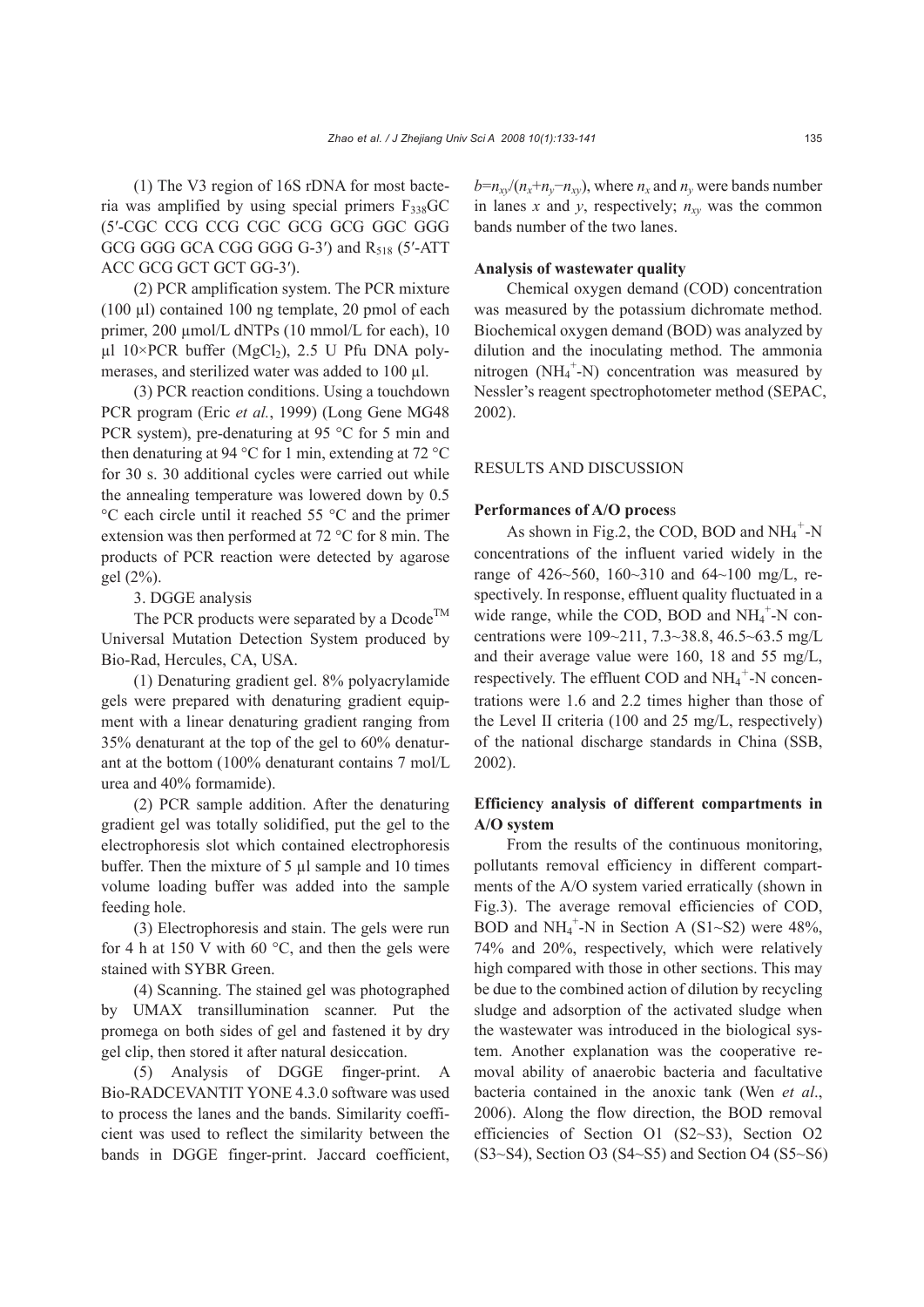(1) The V3 region of 16S rDNA for most bacteria was amplified by using special primers F338GC (5′-CGC CCG CCG CGC GCG GCG GGC GGG GCG GGG GCA CGG GGG G-3') and R<sub>518</sub> (5'-ATT ACC GCG GCT GCT GG-3′).

(2) PCR amplification system. The PCR mixture (100 µl) contained 100 ng template, 20 pmol of each primer, 200 µmol/L dNTPs (10 mmol/L for each), 10  $\mu$ l 10×PCR buffer (MgCl<sub>2</sub>), 2.5 U Pfu DNA polymerases, and sterilized water was added to 100 µl.

(3) PCR reaction conditions. Using a touchdown PCR program (Eric *et al.*, 1999) (Long Gene MG48 PCR system), pre-denaturing at 95 °C for 5 min and then denaturing at 94 °C for 1 min, extending at 72 °C for 30 s. 30 additional cycles were carried out while the annealing temperature was lowered down by 0.5 °C each circle until it reached 55 °C and the primer extension was then performed at 72 °C for 8 min. The products of PCR reaction were detected by agarose gel (2%).

3. DGGE analysis

The PCR products were separated by a Dcode<sup>TM</sup> Universal Mutation Detection System produced by Bio-Rad, Hercules, CA, USA.

(1) Denaturing gradient gel. 8% polyacrylamide gels were prepared with denaturing gradient equipment with a linear denaturing gradient ranging from 35% denaturant at the top of the gel to 60% denaturant at the bottom (100% denaturant contains 7 mol/L urea and 40% formamide).

(2) PCR sample addition. After the denaturing gradient gel was totally solidified, put the gel to the electrophoresis slot which contained electrophoresis buffer. Then the mixture of 5 µl sample and 10 times volume loading buffer was added into the sample feeding hole.

(3) Electrophoresis and stain. The gels were run for 4 h at 150 V with 60  $^{\circ}$ C, and then the gels were stained with SYBR Green.

(4) Scanning. The stained gel was photographed by UMAX transillumination scanner. Put the promega on both sides of gel and fastened it by dry gel clip, then stored it after natural desiccation.

(5) Analysis of DGGE finger-print. A Bio-RADCEVANTIT YONE 4.3.0 software was used to process the lanes and the bands. Similarity coefficient was used to reflect the similarity between the bands in DGGE finger-print. Jaccard coefficient,  $b=n_{xy}/(n_x+n_y-n_{xy})$ , where  $n_x$  and  $n_y$  were bands number in lanes *x* and *y*, respectively;  $n_{xy}$  was the common bands number of the two lanes.

#### **Analysis of wastewater quality**

Chemical oxygen demand (COD) concentration was measured by the potassium dichromate method. Biochemical oxygen demand (BOD) was analyzed by dilution and the inoculating method. The ammonia nitrogen (NH<sub>4</sub><sup>+</sup>-N) concentration was measured by Nessler's reagent spectrophotometer method (SEPAC, 2002).

## RESULTS AND DISCUSSION

#### **Performances of A/O proces**s

As shown in Fig.2, the COD, BOD and  $NH_4^+$ -N concentrations of the influent varied widely in the range of 426~560, 160~310 and 64~100 mg/L, respectively. In response, effluent quality fluctuated in a wide range, while the COD, BOD and  $NH_4^+$ -N concentrations were 109~211, 7.3~38.8, 46.5~63.5 mg/L and their average value were 160, 18 and 55 mg/L, respectively. The effluent COD and  $NH_4^+$ -N concentrations were 1.6 and 2.2 times higher than those of the Level II criteria (100 and 25 mg/L, respectively) of the national discharge standards in China (SSB, 2002).

## **Efficiency analysis of different compartments in A/O system**

From the results of the continuous monitoring, pollutants removal efficiency in different compartments of the A/O system varied erratically (shown in Fig.3). The average removal efficiencies of COD, BOD and  $NH_4^+$ -N in Section A (S1~S2) were 48%, 74% and 20%, respectively, which were relatively high compared with those in other sections. This may be due to the combined action of dilution by recycling sludge and adsorption of the activated sludge when the wastewater was introduced in the biological system. Another explanation was the cooperative removal ability of anaerobic bacteria and facultative bacteria contained in the anoxic tank (Wen *et al*., 2006). Along the flow direction, the BOD removal efficiencies of Section O1 (S2~S3), Section O2 (S3~S4), Section O3 (S4~S5) and Section O4 (S5~S6)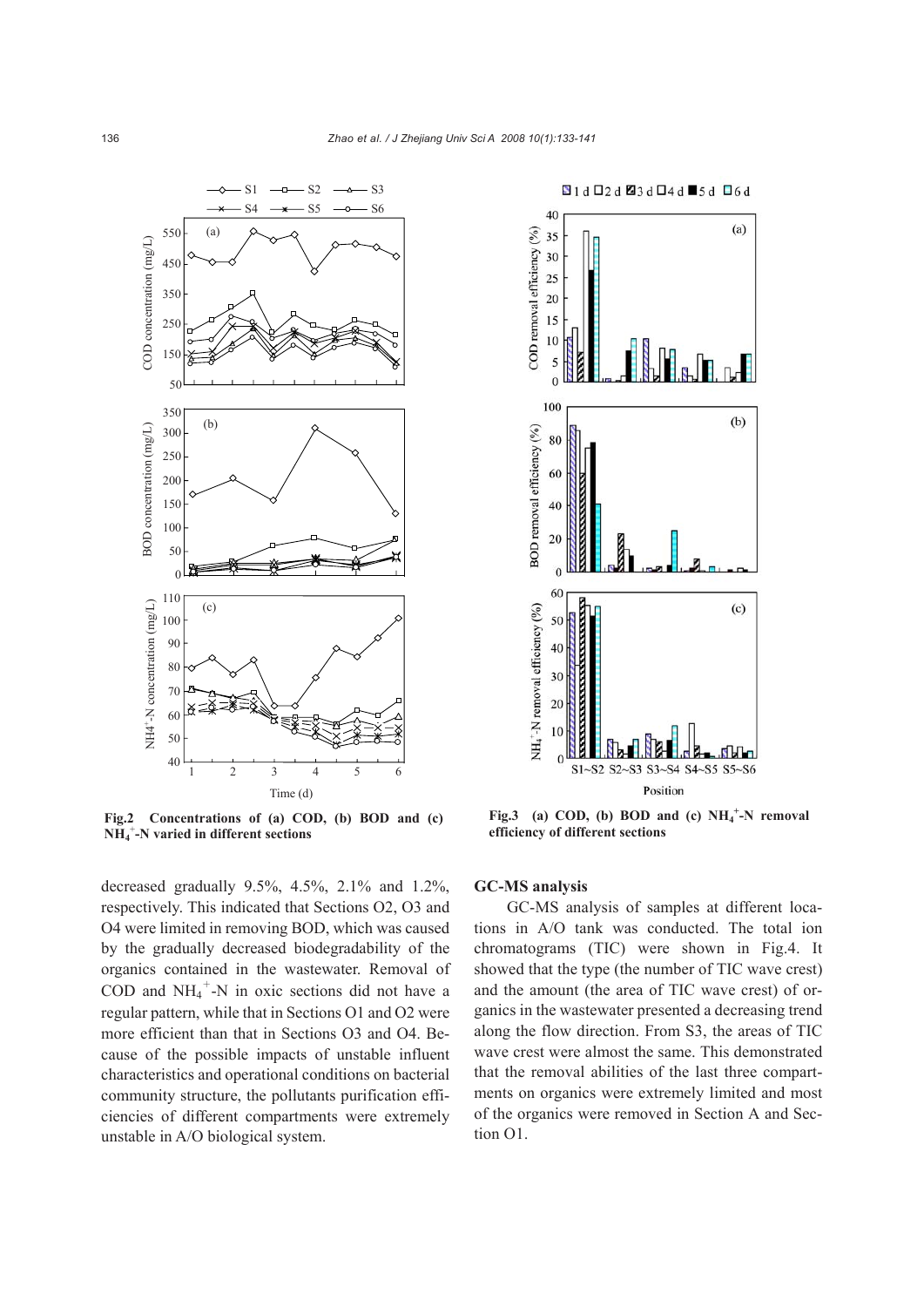

**Fig.2 Concentrations of (a) COD, (b) BOD and (c) NH4** + **-N varied in different sections**

decreased gradually 9.5%, 4.5%, 2.1% and 1.2%, respectively. This indicated that Sections O2, O3 and O4 were limited in removing BOD, which was caused by the gradually decreased biodegradability of the organics contained in the wastewater. Removal of COD and  $NH_4^+$ -N in oxic sections did not have a regular pattern, while that in Sections O1 and O2 were more efficient than that in Sections O3 and O4. Because of the possible impacts of unstable influent characteristics and operational conditions on bacterial community structure, the pollutants purification efficiencies of different compartments were extremely unstable in A/O biological system.



Fig.3 (a) COD, (b) BOD and (c)  $NH_4^+$ -N removal **efficiency of different sections** 

#### **GC-MS analysis**

GC-MS analysis of samples at different locations in A/O tank was conducted. The total ion chromatograms (TIC) were shown in Fig.4. It showed that the type (the number of TIC wave crest) and the amount (the area of TIC wave crest) of organics in the wastewater presented a decreasing trend along the flow direction. From S3, the areas of TIC wave crest were almost the same. This demonstrated that the removal abilities of the last three compartments on organics were extremely limited and most of the organics were removed in Section A and Section O1.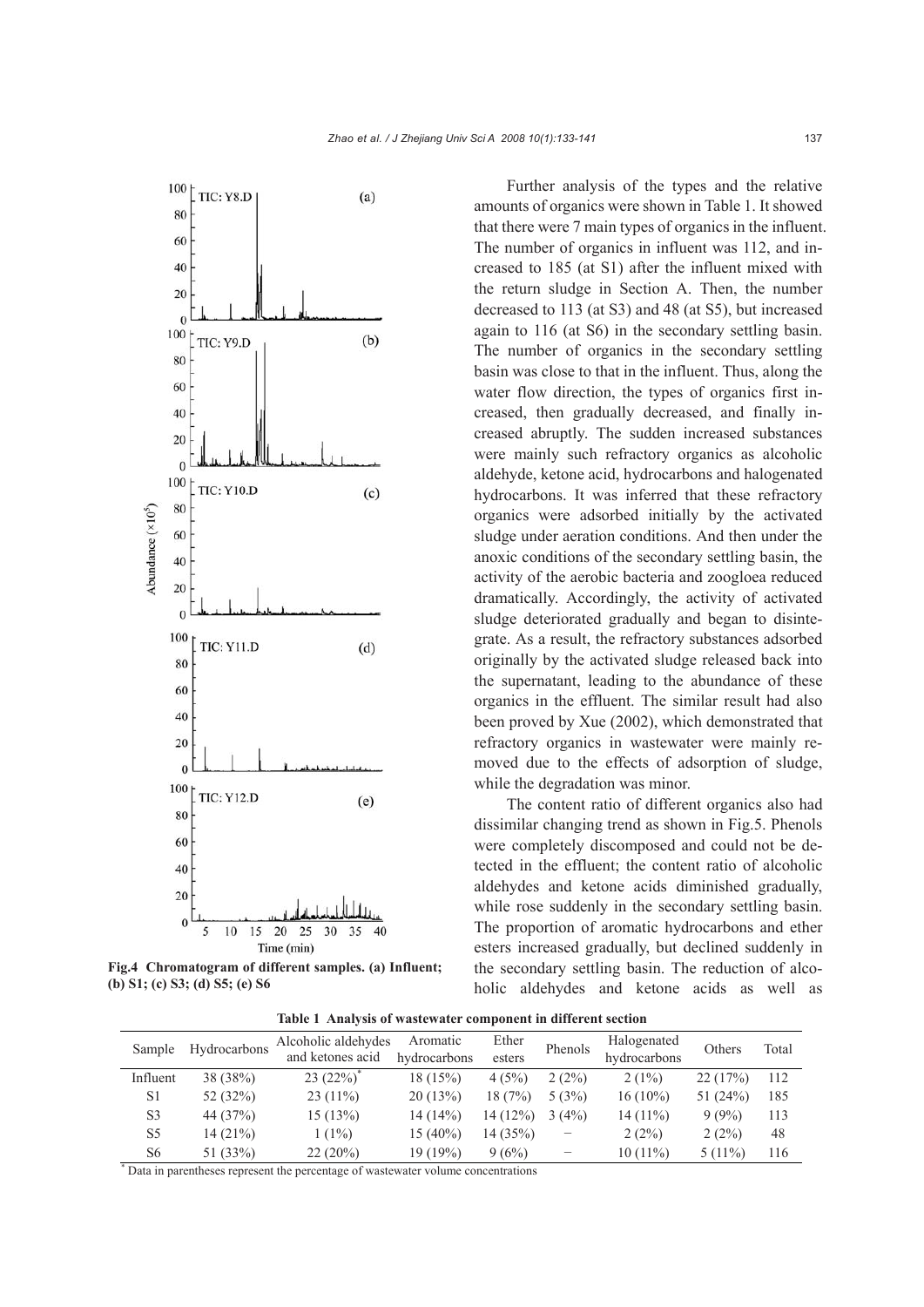

100

80

80

Abundance  $(x10<sup>5</sup>)$ 



**Fig.4 Chromatogram of different samples. (a) Influent; (b) S1; (c) S3; (d) S5; (e) S6**

Further analysis of the types and the relative amounts of organics were shown in Table 1. It showed that there were 7 main types of organics in the influent. The number of organics in influent was 112, and increased to 185 (at S1) after the influent mixed with the return sludge in Section A. Then, the number decreased to 113 (at S3) and 48 (at S5), but increased again to 116 (at S6) in the secondary settling basin. The number of organics in the secondary settling basin was close to that in the influent. Thus, along the water flow direction, the types of organics first increased, then gradually decreased, and finally increased abruptly. The sudden increased substances were mainly such refractory organics as alcoholic aldehyde, ketone acid, hydrocarbons and halogenated hydrocarbons. It was inferred that these refractory organics were adsorbed initially by the activated sludge under aeration conditions. And then under the anoxic conditions of the secondary settling basin, the activity of the aerobic bacteria and zoogloea reduced dramatically. Accordingly, the activity of activated sludge deteriorated gradually and began to disintegrate. As a result, the refractory substances adsorbed originally by the activated sludge released back into the supernatant, leading to the abundance of these organics in the effluent. The similar result had also been proved by Xue (2002), which demonstrated that refractory organics in wastewater were mainly removed due to the effects of adsorption of sludge, while the degradation was minor.

The content ratio of different organics also had dissimilar changing trend as shown in Fig.5. Phenols were completely discomposed and could not be detected in the effluent; the content ratio of alcoholic aldehydes and ketone acids diminished gradually, while rose suddenly in the secondary settling basin. The proportion of aromatic hydrocarbons and ether esters increased gradually, but declined suddenly in the secondary settling basin. The reduction of alcoholic aldehydes and ketone acids as well as

**Table 1 Analysis of wastewater component in different section**

| Sample         | Hydrocarbons | Alcoholic aldehydes<br>and ketones acid | Aromatic<br>hydrocarbons | Ether<br>esters | Phenols | Halogenated<br>hydrocarbons | Others     | Total |
|----------------|--------------|-----------------------------------------|--------------------------|-----------------|---------|-----------------------------|------------|-------|
| Influent       | 38(38%)      | $23(22%)^*$                             | 18(15%)                  | 4(5%)           | 2(2%)   | $2(1\%)$                    | 22(17%)    | 112   |
| S1             | 52 $(32%)$   | $23(11\%)$                              | 20(13%)                  | 18(7%)          | 5(3%)   | $16(10\%)$                  | 51 $(24%)$ | 185   |
| S3             | 44 (37%)     | 15(13%)                                 | $14(14\%)$               | 14(12%)         | 3(4%)   | $14(11\%)$                  | $9(9\%)$   | 113   |
| S5             | 14(21%)      | $(1\%)$                                 | $15(40\%)$               | 14 (35%)        |         | 2(2%)                       | 2(2%)      | 48    |
| S <sub>6</sub> | 51 (33%)     | $22(20\%)$                              | 19 (19%)                 | 9(6%)           |         | $10(11\%)$                  | $5(11\%)$  | 116   |

\* Data in parentheses represent the percentage of wastewater volume concentrations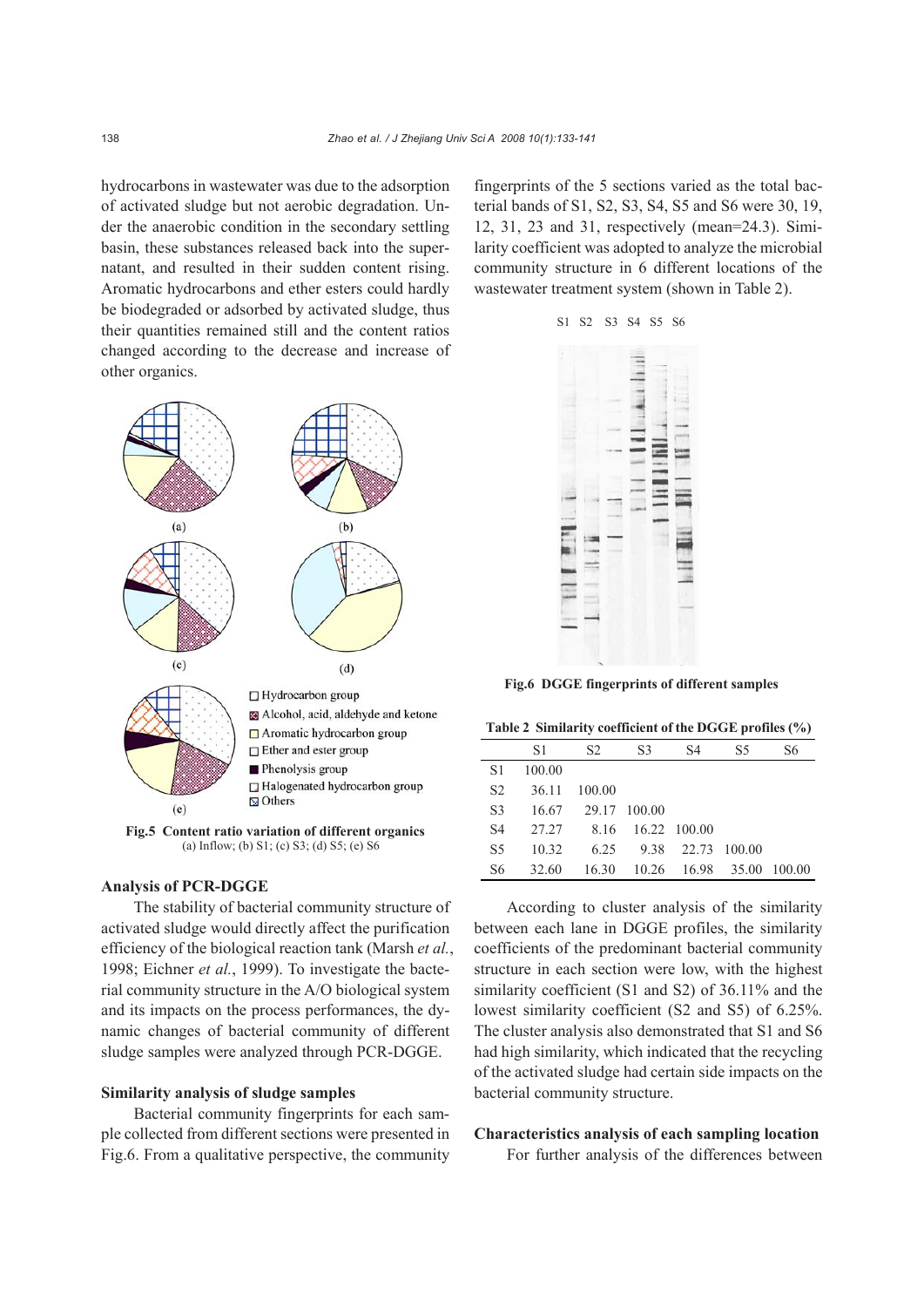hydrocarbons in wastewater was due to the adsorption of activated sludge but not aerobic degradation. Under the anaerobic condition in the secondary settling basin, these substances released back into the supernatant, and resulted in their sudden content rising. Aromatic hydrocarbons and ether esters could hardly be biodegraded or adsorbed by activated sludge, thus their quantities remained still and the content ratios changed according to the decrease and increase of other organics.



**Fig.5 Content ratio variation of different organics** (a) Inflow; (b) S1; (c) S3; (d) S5; (e) S6

#### **Analysis of PCR-DGGE**

The stability of bacterial community structure of activated sludge would directly affect the purification efficiency of the biological reaction tank (Marsh *et al.*, 1998; Eichner *et al.*, 1999). To investigate the bacterial community structure in the A/O biological system and its impacts on the process performances, the dynamic changes of bacterial community of different sludge samples were analyzed through PCR-DGGE.

### **Similarity analysis of sludge samples**

Bacterial community fingerprints for each sample collected from different sections were presented in Fig.6. From a qualitative perspective, the community fingerprints of the 5 sections varied as the total bacterial bands of S1, S2, S3, S4, S5 and S6 were 30, 19, 12, 31, 23 and 31, respectively (mean=24.3). Similarity coefficient was adopted to analyze the microbial community structure in 6 different locations of the wastewater treatment system (shown in Table 2).



**Fig.6 DGGE fingerprints of different samples**

|  |  |  | Table 2 Similarity coefficient of the DGGE profiles (%) |  |  |  |
|--|--|--|---------------------------------------------------------|--|--|--|
|--|--|--|---------------------------------------------------------|--|--|--|

|                | S1     | S <sub>2</sub>     | S <sub>3</sub> | S4                             | S <sub>5</sub> | S6 |
|----------------|--------|--------------------|----------------|--------------------------------|----------------|----|
| S1             | 100.00 |                    |                |                                |                |    |
| S <sub>2</sub> | 36.11  | 100.00             |                |                                |                |    |
| S <sub>3</sub> |        | 16.67 29.17 100.00 |                |                                |                |    |
| S <sub>4</sub> |        | 27.27 8.16         |                | $16.22$ $100.00$               |                |    |
| S <sub>5</sub> | 10.32  |                    |                | 6.25 9.38 22.73 100.00         |                |    |
| S <sub>6</sub> | 32.60  |                    |                | 16.30 10.26 16.98 35.00 100.00 |                |    |

According to cluster analysis of the similarity between each lane in DGGE profiles, the similarity coefficients of the predominant bacterial community structure in each section were low, with the highest similarity coefficient (S1 and S2) of 36.11% and the lowest similarity coefficient (S2 and S5) of 6.25%. The cluster analysis also demonstrated that S1 and S6 had high similarity, which indicated that the recycling of the activated sludge had certain side impacts on the bacterial community structure.

## **Characteristics analysis of each sampling location**

For further analysis of the differences between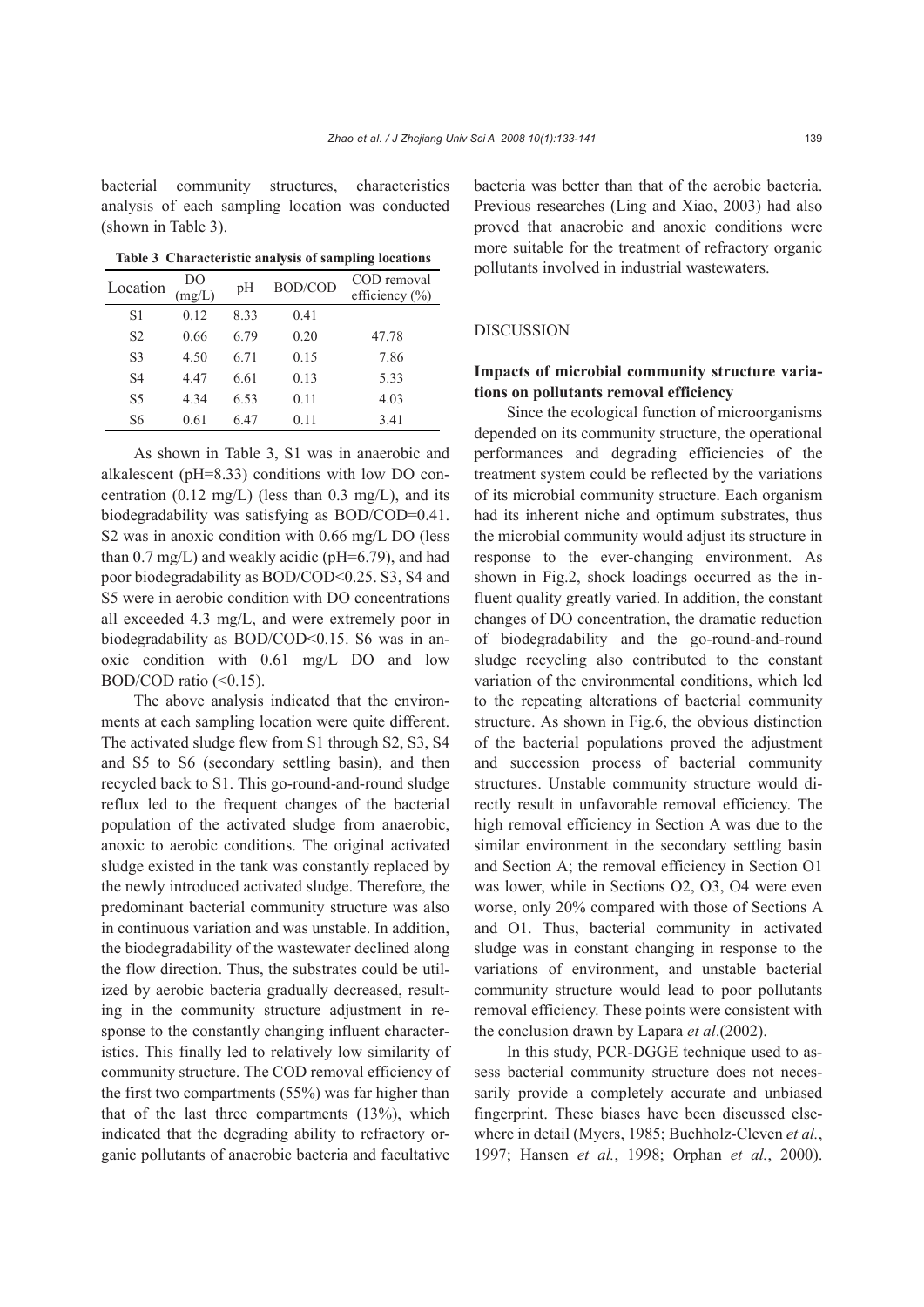bacterial community structures, characteristics analysis of each sampling location was conducted (shown in Table 3).

**Table 3 Characteristic analysis of sampling locations**

| Location       | DO<br>mg/L) | pH   | <b>BOD/COD</b> | COD removal<br>efficiency $(\% )$ |
|----------------|-------------|------|----------------|-----------------------------------|
| S1             | 0.12        | 8.33 | 0.41           |                                   |
| S <sub>2</sub> | 0.66        | 6.79 | 0.20           | 47.78                             |
| S <sub>3</sub> | 4.50        | 6.71 | 0.15           | 7.86                              |
| S4             | 4.47        | 6.61 | 0.13           | 5.33                              |
| S5             | 4.34        | 6.53 | 0.11           | 4.03                              |
| S6             | 0.61        | 6.47 | 0.11           | 3.41                              |

As shown in Table 3, S1 was in anaerobic and alkalescent (pH=8.33) conditions with low DO concentration  $(0.12 \text{ mg/L})$  (less than 0.3 mg/L), and its biodegradability was satisfying as BOD/COD=0.41. S2 was in anoxic condition with 0.66 mg/L DO (less than  $0.7 \text{ mg/L}$ ) and weakly acidic (pH=6.79), and had poor biodegradability as BOD/COD<0.25. S3, S4 and S5 were in aerobic condition with DO concentrations all exceeded 4.3 mg/L, and were extremely poor in biodegradability as BOD/COD<0.15. S6 was in anoxic condition with 0.61 mg/L DO and low BOD/COD ratio  $( $0.15$ ).$ 

The above analysis indicated that the environments at each sampling location were quite different. The activated sludge flew from S1 through S2, S3, S4 and S5 to S6 (secondary settling basin), and then recycled back to S1. This go-round-and-round sludge reflux led to the frequent changes of the bacterial population of the activated sludge from anaerobic, anoxic to aerobic conditions. The original activated sludge existed in the tank was constantly replaced by the newly introduced activated sludge. Therefore, the predominant bacterial community structure was also in continuous variation and was unstable. In addition, the biodegradability of the wastewater declined along the flow direction. Thus, the substrates could be utilized by aerobic bacteria gradually decreased, resulting in the community structure adjustment in response to the constantly changing influent characteristics. This finally led to relatively low similarity of community structure. The COD removal efficiency of the first two compartments (55%) was far higher than that of the last three compartments (13%), which indicated that the degrading ability to refractory organic pollutants of anaerobic bacteria and facultative bacteria was better than that of the aerobic bacteria. Previous researches (Ling and Xiao, 2003) had also proved that anaerobic and anoxic conditions were more suitable for the treatment of refractory organic pollutants involved in industrial wastewaters.

## DISCUSSION

## **Impacts of microbial community structure variations on pollutants removal efficiency**

Since the ecological function of microorganisms depended on its community structure, the operational performances and degrading efficiencies of the treatment system could be reflected by the variations of its microbial community structure. Each organism had its inherent niche and optimum substrates, thus the microbial community would adjust its structure in response to the ever-changing environment. As shown in Fig.2, shock loadings occurred as the influent quality greatly varied. In addition, the constant changes of DO concentration, the dramatic reduction of biodegradability and the go-round-and-round sludge recycling also contributed to the constant variation of the environmental conditions, which led to the repeating alterations of bacterial community structure. As shown in Fig.6, the obvious distinction of the bacterial populations proved the adjustment and succession process of bacterial community structures. Unstable community structure would directly result in unfavorable removal efficiency. The high removal efficiency in Section A was due to the similar environment in the secondary settling basin and Section A; the removal efficiency in Section O1 was lower, while in Sections O2, O3, O4 were even worse, only 20% compared with those of Sections A and O1. Thus, bacterial community in activated sludge was in constant changing in response to the variations of environment, and unstable bacterial community structure would lead to poor pollutants removal efficiency. These points were consistent with the conclusion drawn by Lapara *et al*.(2002).

In this study, PCR-DGGE technique used to assess bacterial community structure does not necessarily provide a completely accurate and unbiased fingerprint. These biases have been discussed elsewhere in detail (Myers, 1985; Buchholz-Cleven *et al.*, 1997; Hansen *et al.*, 1998; Orphan *et al.*, 2000).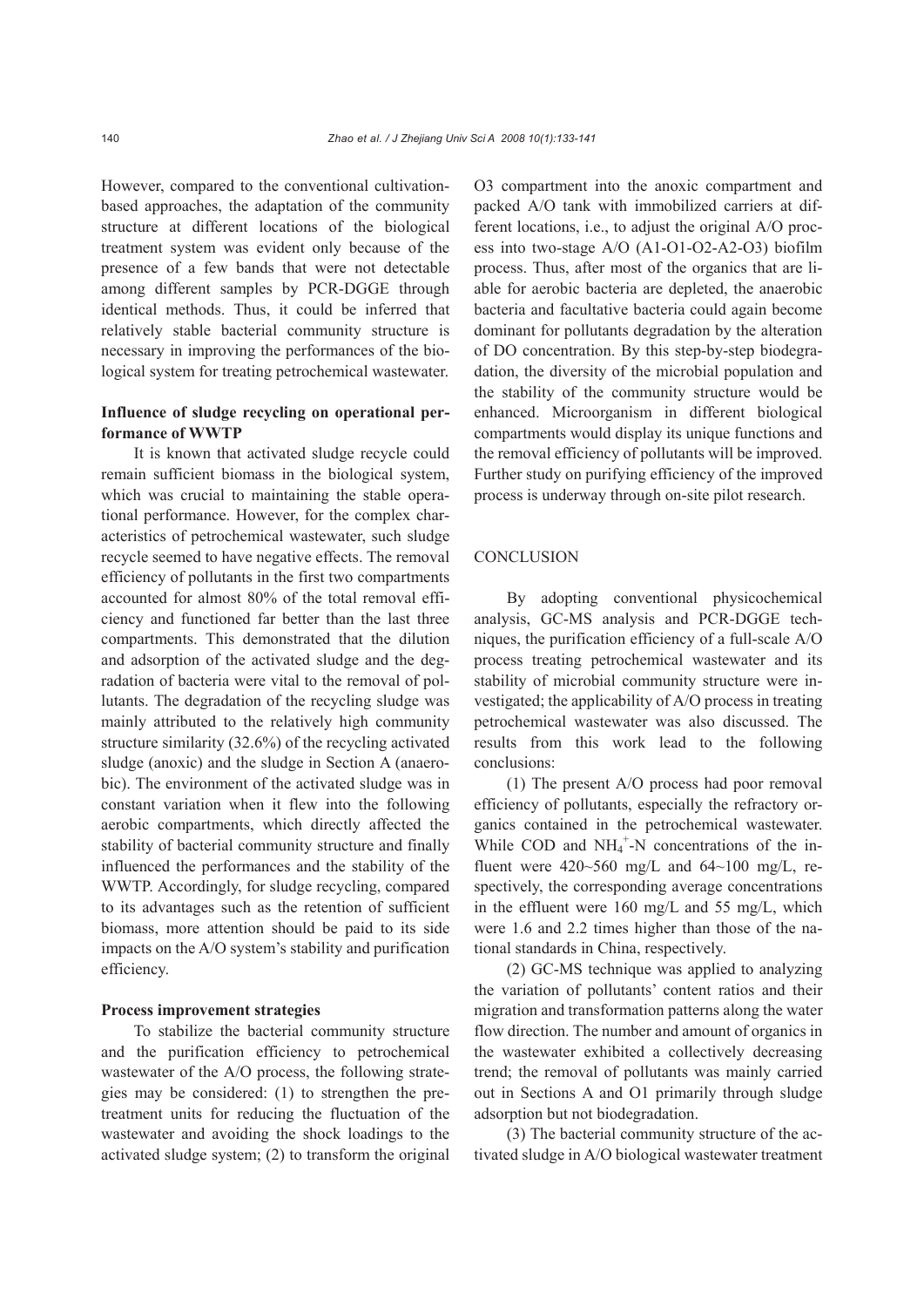However, compared to the conventional cultivationbased approaches, the adaptation of the community structure at different locations of the biological treatment system was evident only because of the presence of a few bands that were not detectable among different samples by PCR-DGGE through identical methods. Thus, it could be inferred that relatively stable bacterial community structure is necessary in improving the performances of the biological system for treating petrochemical wastewater.

## **Influence of sludge recycling on operational performance of WWTP**

It is known that activated sludge recycle could remain sufficient biomass in the biological system, which was crucial to maintaining the stable operational performance. However, for the complex characteristics of petrochemical wastewater, such sludge recycle seemed to have negative effects. The removal efficiency of pollutants in the first two compartments accounted for almost 80% of the total removal efficiency and functioned far better than the last three compartments. This demonstrated that the dilution and adsorption of the activated sludge and the degradation of bacteria were vital to the removal of pollutants. The degradation of the recycling sludge was mainly attributed to the relatively high community structure similarity (32.6%) of the recycling activated sludge (anoxic) and the sludge in Section A (anaerobic). The environment of the activated sludge was in constant variation when it flew into the following aerobic compartments, which directly affected the stability of bacterial community structure and finally influenced the performances and the stability of the WWTP. Accordingly, for sludge recycling, compared to its advantages such as the retention of sufficient biomass, more attention should be paid to its side impacts on the A/O system's stability and purification efficiency.

#### **Process improvement strategies**

To stabilize the bacterial community structure and the purification efficiency to petrochemical wastewater of the A/O process, the following strategies may be considered: (1) to strengthen the pretreatment units for reducing the fluctuation of the wastewater and avoiding the shock loadings to the activated sludge system; (2) to transform the original O3 compartment into the anoxic compartment and packed A/O tank with immobilized carriers at different locations, i.e., to adjust the original A/O process into two-stage A/O (A1-O1-O2-A2-O3) biofilm process. Thus, after most of the organics that are liable for aerobic bacteria are depleted, the anaerobic bacteria and facultative bacteria could again become dominant for pollutants degradation by the alteration of DO concentration. By this step-by-step biodegradation, the diversity of the microbial population and the stability of the community structure would be enhanced. Microorganism in different biological compartments would display its unique functions and the removal efficiency of pollutants will be improved. Further study on purifying efficiency of the improved process is underway through on-site pilot research.

#### **CONCLUSION**

By adopting conventional physicochemical analysis, GC-MS analysis and PCR-DGGE techniques, the purification efficiency of a full-scale A/O process treating petrochemical wastewater and its stability of microbial community structure were investigated; the applicability of A/O process in treating petrochemical wastewater was also discussed. The results from this work lead to the following conclusions:

(1) The present A/O process had poor removal efficiency of pollutants, especially the refractory organics contained in the petrochemical wastewater. While COD and  $NH_4^+$ -N concentrations of the influent were  $420~560$  mg/L and  $64~100$  mg/L, respectively, the corresponding average concentrations in the effluent were 160 mg/L and 55 mg/L, which were 1.6 and 2.2 times higher than those of the national standards in China, respectively.

(2) GC-MS technique was applied to analyzing the variation of pollutants' content ratios and their migration and transformation patterns along the water flow direction. The number and amount of organics in the wastewater exhibited a collectively decreasing trend; the removal of pollutants was mainly carried out in Sections A and O1 primarily through sludge adsorption but not biodegradation.

(3) The bacterial community structure of the activated sludge in A/O biological wastewater treatment